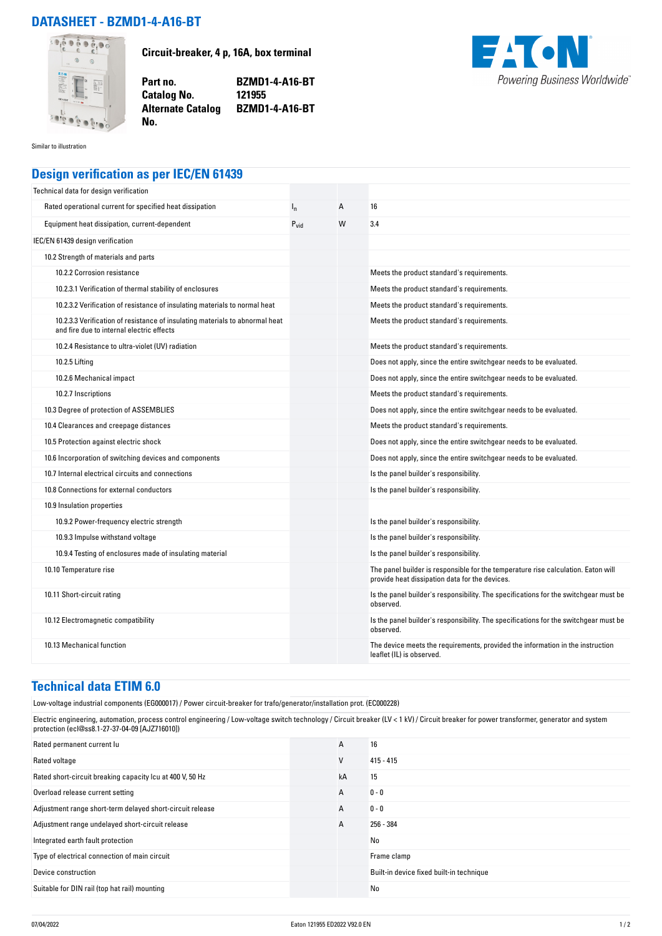## **DATASHEET - BZMD1-4-A16-BT**



**Circuit-breaker, 4 p, 16A, box terminal**

**Part no. BZMD1-4-A16-BT Alternate Catalog BZMD1-4-A16-BT**



Similar to illustration

## **Design verification as per IEC/EN 61439**

**No.** 

**Catalog No.** 

| Technical data for design verification                                                                                    |           |   |                                                                                                                                     |
|---------------------------------------------------------------------------------------------------------------------------|-----------|---|-------------------------------------------------------------------------------------------------------------------------------------|
| Rated operational current for specified heat dissipation                                                                  | $I_{n}$   | Α | 16                                                                                                                                  |
| Equipment heat dissipation, current-dependent                                                                             | $P_{vid}$ | W | 3.4                                                                                                                                 |
| IEC/EN 61439 design verification                                                                                          |           |   |                                                                                                                                     |
| 10.2 Strength of materials and parts                                                                                      |           |   |                                                                                                                                     |
| 10.2.2 Corrosion resistance                                                                                               |           |   | Meets the product standard's requirements.                                                                                          |
| 10.2.3.1 Verification of thermal stability of enclosures                                                                  |           |   | Meets the product standard's requirements.                                                                                          |
| 10.2.3.2 Verification of resistance of insulating materials to normal heat                                                |           |   | Meets the product standard's requirements.                                                                                          |
| 10.2.3.3 Verification of resistance of insulating materials to abnormal heat<br>and fire due to internal electric effects |           |   | Meets the product standard's requirements.                                                                                          |
| 10.2.4 Resistance to ultra-violet (UV) radiation                                                                          |           |   | Meets the product standard's requirements.                                                                                          |
| 10.2.5 Lifting                                                                                                            |           |   | Does not apply, since the entire switchgear needs to be evaluated.                                                                  |
| 10.2.6 Mechanical impact                                                                                                  |           |   | Does not apply, since the entire switchgear needs to be evaluated.                                                                  |
| 10.2.7 Inscriptions                                                                                                       |           |   | Meets the product standard's requirements.                                                                                          |
| 10.3 Degree of protection of ASSEMBLIES                                                                                   |           |   | Does not apply, since the entire switchgear needs to be evaluated.                                                                  |
| 10.4 Clearances and creepage distances                                                                                    |           |   | Meets the product standard's requirements.                                                                                          |
| 10.5 Protection against electric shock                                                                                    |           |   | Does not apply, since the entire switchgear needs to be evaluated.                                                                  |
| 10.6 Incorporation of switching devices and components                                                                    |           |   | Does not apply, since the entire switchgear needs to be evaluated.                                                                  |
| 10.7 Internal electrical circuits and connections                                                                         |           |   | Is the panel builder's responsibility.                                                                                              |
| 10.8 Connections for external conductors                                                                                  |           |   | Is the panel builder's responsibility.                                                                                              |
| 10.9 Insulation properties                                                                                                |           |   |                                                                                                                                     |
| 10.9.2 Power-frequency electric strength                                                                                  |           |   | Is the panel builder's responsibility.                                                                                              |
| 10.9.3 Impulse withstand voltage                                                                                          |           |   | Is the panel builder's responsibility.                                                                                              |
| 10.9.4 Testing of enclosures made of insulating material                                                                  |           |   | Is the panel builder's responsibility.                                                                                              |
| 10.10 Temperature rise                                                                                                    |           |   | The panel builder is responsible for the temperature rise calculation. Eaton will<br>provide heat dissipation data for the devices. |
| 10.11 Short-circuit rating                                                                                                |           |   | Is the panel builder's responsibility. The specifications for the switchgear must be<br>observed.                                   |
| 10.12 Electromagnetic compatibility                                                                                       |           |   | Is the panel builder's responsibility. The specifications for the switchgear must be<br>observed.                                   |
| 10.13 Mechanical function                                                                                                 |           |   | The device meets the requirements, provided the information in the instruction<br>leaflet (IL) is observed.                         |

## **Technical data ETIM 6.0**

Low-voltage industrial components (EG000017) / Power circuit-breaker for trafo/generator/installation prot. (EC000228)

Electric engineering, automation, process control engineering / Low-voltage switch technology / Circuit breaker (LV < 1 kV) / Circuit breaker for power transformer, generator and system protection (ecl@ss8.1-27-37-04-09 [AJZ716010])

| Rated permanent current lu                                | A  | 16                                       |
|-----------------------------------------------------------|----|------------------------------------------|
| Rated voltage                                             | ٧  | $415 - 415$                              |
| Rated short-circuit breaking capacity Icu at 400 V, 50 Hz | kA | 15                                       |
| Overload release current setting                          | А  | $0 - 0$                                  |
| Adjustment range short-term delayed short-circuit release | A  | $0 - 0$                                  |
| Adjustment range undelayed short-circuit release          | A  | 256 - 384                                |
| Integrated earth fault protection                         |    | No                                       |
| Type of electrical connection of main circuit             |    | Frame clamp                              |
| Device construction                                       |    | Built-in device fixed built-in technique |
| Suitable for DIN rail (top hat rail) mounting             |    | No                                       |